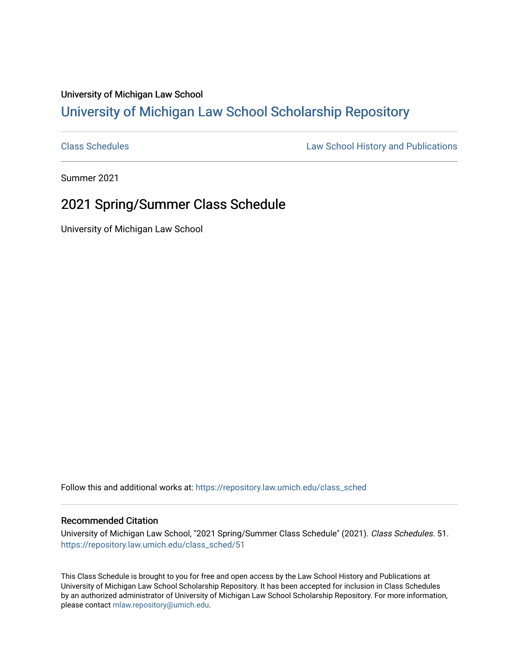## University of Michigan Law School [University of Michigan Law School Scholarship Repository](https://repository.law.umich.edu/)

[Class Schedules](https://repository.law.umich.edu/class_sched) **Law School History and Publications** 

Summer 2021

## 2021 Spring/Summer Class Schedule

University of Michigan Law School

Follow this and additional works at: [https://repository.law.umich.edu/class\\_sched](https://repository.law.umich.edu/class_sched?utm_source=repository.law.umich.edu%2Fclass_sched%2F51&utm_medium=PDF&utm_campaign=PDFCoverPages) 

#### Recommended Citation

University of Michigan Law School, "2021 Spring/Summer Class Schedule" (2021). Class Schedules. 51. [https://repository.law.umich.edu/class\\_sched/51](https://repository.law.umich.edu/class_sched/51?utm_source=repository.law.umich.edu%2Fclass_sched%2F51&utm_medium=PDF&utm_campaign=PDFCoverPages)

This Class Schedule is brought to you for free and open access by the Law School History and Publications at University of Michigan Law School Scholarship Repository. It has been accepted for inclusion in Class Schedules by an authorized administrator of University of Michigan Law School Scholarship Repository. For more information, please contact [mlaw.repository@umich.edu.](mailto:mlaw.repository@umich.edu)